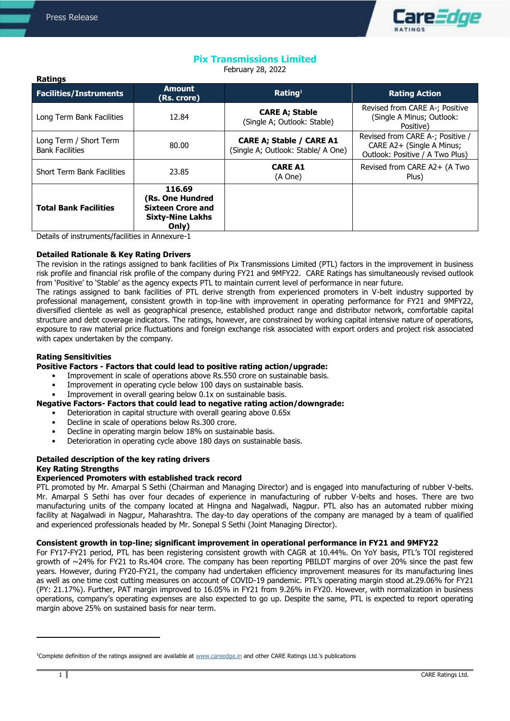**Ratings**



# **Pix Transmissions Limited**

February 28, 2022

| <b>Facilities/Instruments</b>                    | <b>Amount</b><br>(Rs. crore)                                                               | Rating <sup>1</sup>                                                   | <b>Rating Action</b>                                                                             |
|--------------------------------------------------|--------------------------------------------------------------------------------------------|-----------------------------------------------------------------------|--------------------------------------------------------------------------------------------------|
| Long Term Bank Facilities                        | 12.84                                                                                      | <b>CARE A; Stable</b><br>(Single A; Outlook: Stable)                  | Revised from CARE A-; Positive<br>(Single A Minus; Outlook:<br>Positive)                         |
| Long Term / Short Term<br><b>Bank Facilities</b> | 80.00                                                                                      | <b>CARE A; Stable / CARE A1</b><br>(Single A; Outlook: Stable/ A One) | Revised from CARE A-; Positive /<br>CARE A2+ (Single A Minus;<br>Outlook: Positive / A Two Plus) |
| <b>Short Term Bank Facilities</b>                | 23.85                                                                                      | <b>CARE A1</b><br>(A One)                                             | Revised from CARE A2+ (A Two<br>Plus)                                                            |
| <b>Total Bank Facilities</b>                     | 116.69<br>(Rs. One Hundred<br><b>Sixteen Crore and</b><br><b>Sixty-Nine Lakhs</b><br>Only) |                                                                       |                                                                                                  |

Details of instruments/facilities in Annexure-1

## **Detailed Rationale & Key Rating Drivers**

The revision in the ratings assigned to bank facilities of Pix Transmissions Limited (PTL) factors in the improvement in business risk profile and financial risk profile of the company during FY21 and 9MFY22. CARE Ratings has simultaneously revised outlook from 'Positive' to 'Stable' as the agency expects PTL to maintain current level of performance in near future.

The ratings assigned to bank facilities of PTL derive strength from experienced promoters in V-belt industry supported by professional management, consistent growth in top-line with improvement in operating performance for FY21 and 9MFY22, diversified clientele as well as geographical presence, established product range and distributor network, comfortable capital structure and debt coverage indicators. The ratings, however, are constrained by working capital intensive nature of operations, exposure to raw material price fluctuations and foreign exchange risk associated with export orders and project risk associated with capex undertaken by the company.

# **Rating Sensitivities**

**Positive Factors - Factors that could lead to positive rating action/upgrade:**

- Improvement in scale of operations above Rs.550 crore on sustainable basis.
- Improvement in operating cycle below 100 days on sustainable basis.
- Improvement in overall gearing below 0.1x on sustainable basis.

# **Negative Factors- Factors that could lead to negative rating action/downgrade:**

- Deterioration in capital structure with overall gearing above 0.65x
- Decline in scale of operations below Rs.300 crore.
- Decline in operating margin below 18% on sustainable basis.
- Deterioration in operating cycle above 180 days on sustainable basis.

# **Detailed description of the key rating drivers Key Rating Strengths**

# **Experienced Promoters with established track record**

PTL promoted by Mr. Amarpal S Sethi (Chairman and Managing Director) and is engaged into manufacturing of rubber V-belts. Mr. Amarpal S Sethi has over four decades of experience in manufacturing of rubber V-belts and hoses. There are two manufacturing units of the company located at Hingna and Nagalwadi, Nagpur. PTL also has an automated rubber mixing facility at Nagalwadi in Nagpur, Maharashtra. The day-to day operations of the company are managed by a team of qualified and experienced professionals headed by Mr. Sonepal S Sethi (Joint Managing Director).

#### **Consistent growth in top-line; significant improvement in operational performance in FY21 and 9MFY22**

For FY17-FY21 period, PTL has been registering consistent growth with CAGR at 10.44%. On YoY basis, PTL's TOI registered growth of ~24% for FY21 to Rs.404 crore. The company has been reporting PBILDT margins of over 20% since the past few years. However, during FY20-FY21, the company had undertaken efficiency improvement measures for its manufacturing lines as well as one time cost cutting measures on account of COVID-19 pandemic. PTL's operating margin stood at.29.06% for FY21 (PY: 21.17%). Further, PAT margin improved to 16.05% in FY21 from 9.26% in FY20. However, with normalization in business operations, company's operating expenses are also expected to go up. Despite the same, PTL is expected to report operating margin above 25% on sustained basis for near term.

 $\ddot{\phantom{a}}$ 

<sup>&</sup>lt;sup>1</sup>Complete definition of the ratings assigned are available at [www.careedge.in](http://www.careedge.in/) and other CARE Ratings Ltd.'s publications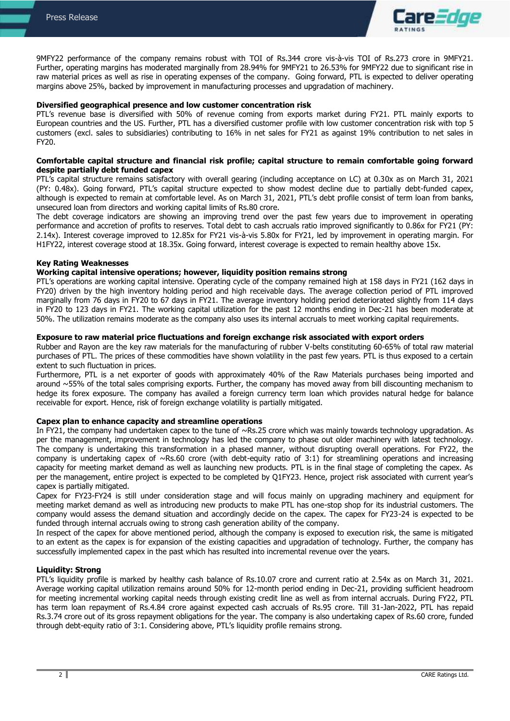

9MFY22 performance of the company remains robust with TOI of Rs.344 crore vis-à-vis TOI of Rs.273 crore in 9MFY21. Further, operating margins has moderated marginally from 28.94% for 9MFY21 to 26.53% for 9MFY22 due to significant rise in raw material prices as well as rise in operating expenses of the company. Going forward, PTL is expected to deliver operating margins above 25%, backed by improvement in manufacturing processes and upgradation of machinery.

#### **Diversified geographical presence and low customer concentration risk**

PTL's revenue base is diversified with 50% of revenue coming from exports market during FY21. PTL mainly exports to European countries and the US. Further, PTL has a diversified customer profile with low customer concentration risk with top 5 customers (excl. sales to subsidiaries) contributing to 16% in net sales for FY21 as against 19% contribution to net sales in FY20.

#### **Comfortable capital structure and financial risk profile; capital structure to remain comfortable going forward despite partially debt funded capex**

PTL's capital structure remains satisfactory with overall gearing (including acceptance on LC) at 0.30x as on March 31, 2021 (PY: 0.48x). Going forward, PTL's capital structure expected to show modest decline due to partially debt-funded capex, although is expected to remain at comfortable level. As on March 31, 2021, PTL's debt profile consist of term loan from banks, unsecured loan from directors and working capital limits of Rs.80 crore.

The debt coverage indicators are showing an improving trend over the past few years due to improvement in operating performance and accretion of profits to reserves. Total debt to cash accruals ratio improved significantly to 0.86x for FY21 (PY: 2.14x). Interest coverage improved to 12.85x for FY21 vis-à-vis 5.80x for FY21, led by improvement in operating margin. For H1FY22, interest coverage stood at 18.35x. Going forward, interest coverage is expected to remain healthy above 15x.

#### **Key Rating Weaknesses**

# **Working capital intensive operations; however, liquidity position remains strong**

PTL's operations are working capital intensive. Operating cycle of the company remained high at 158 days in FY21 (162 days in FY20) driven by the high inventory holding period and high receivable days. The average collection period of PTL improved marginally from 76 days in FY20 to 67 days in FY21. The average inventory holding period deteriorated slightly from 114 days in FY20 to 123 days in FY21. The working capital utilization for the past 12 months ending in Dec-21 has been moderate at 50%. The utilization remains moderate as the company also uses its internal accruals to meet working capital requirements.

#### **Exposure to raw material price fluctuations and foreign exchange risk associated with export orders**

Rubber and Rayon are the key raw materials for the manufacturing of rubber V-belts constituting 60-65% of total raw material purchases of PTL. The prices of these commodities have shown volatility in the past few years. PTL is thus exposed to a certain extent to such fluctuation in prices.

Furthermore, PTL is a net exporter of goods with approximately 40% of the Raw Materials purchases being imported and around  $~55\%$  of the total sales comprising exports. Further, the company has moved away from bill discounting mechanism to hedge its forex exposure. The company has availed a foreign currency term loan which provides natural hedge for balance receivable for export. Hence, risk of foreign exchange volatility is partially mitigated.

# **Capex plan to enhance capacity and streamline operations**

In FY21, the company had undertaken capex to the tune of  $\sim$ Rs.25 crore which was mainly towards technology upgradation. As per the management, improvement in technology has led the company to phase out older machinery with latest technology. The company is undertaking this transformation in a phased manner, without disrupting overall operations. For FY22, the company is undertaking capex of  $\sim$ Rs.60 crore (with debt-equity ratio of 3:1) for streamlining operations and increasing capacity for meeting market demand as well as launching new products. PTL is in the final stage of completing the capex. As per the management, entire project is expected to be completed by Q1FY23. Hence, project risk associated with current year's capex is partially mitigated.

Capex for FY23-FY24 is still under consideration stage and will focus mainly on upgrading machinery and equipment for meeting market demand as well as introducing new products to make PTL has one-stop shop for its industrial customers. The company would assess the demand situation and accordingly decide on the capex. The capex for FY23-24 is expected to be funded through internal accruals owing to strong cash generation ability of the company.

In respect of the capex for above mentioned period, although the company is exposed to execution risk, the same is mitigated to an extent as the capex is for expansion of the existing capacities and upgradation of technology. Further, the company has successfully implemented capex in the past which has resulted into incremental revenue over the years.

#### **Liquidity: Strong**

PTL's liquidity profile is marked by healthy cash balance of Rs.10.07 crore and current ratio at 2.54x as on March 31, 2021. Average working capital utilization remains around 50% for 12-month period ending in Dec-21, providing sufficient headroom for meeting incremental working capital needs through existing credit line as well as from internal accruals. During FY22, PTL has term loan repayment of Rs.4.84 crore against expected cash accruals of Rs.95 crore. Till 31-Jan-2022, PTL has repaid Rs.3.74 crore out of its gross repayment obligations for the year. The company is also undertaking capex of Rs.60 crore, funded through debt-equity ratio of 3:1. Considering above, PTL's liquidity profile remains strong.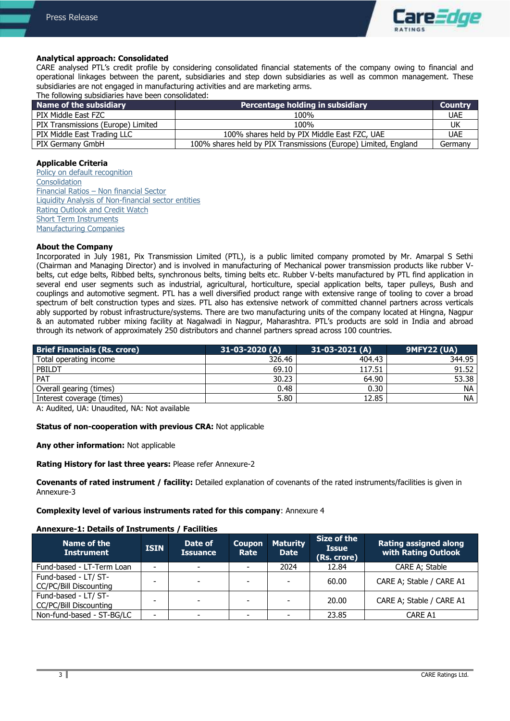

# **Analytical approach: Consolidated**

CARE analysed PTL's credit profile by considering consolidated financial statements of the company owing to financial and operational linkages between the parent, subsidiaries and step down subsidiaries as well as common management. These subsidiaries are not engaged in manufacturing activities and are marketing arms.

The following subsidiaries have been consolidated:

| Name of the subsidiary             | Percentage holding in subsidiary                                | <b>Country</b> |
|------------------------------------|-----------------------------------------------------------------|----------------|
| PIX Middle East FZC                | 100%                                                            | <b>UAE</b>     |
| PIX Transmissions (Europe) Limited | 100%                                                            | UK             |
| PIX Middle East Trading LLC        | 100% shares held by PIX Middle East FZC, UAE                    | <b>UAE</b>     |
| PIX Germany GmbH                   | 100% shares held by PIX Transmissions (Europe) Limited, England | Germanv        |

### **Applicable Criteria**

[Policy on default recognition](https://www.careratings.com/pdf/resources/CARE) **[Consolidation](https://www.careratings.com/upload/NewsFiles/GetRated/Rating%20Methodology-Consolidation_October2020.pdf)** Financial Ratios – [Non financial Sector](https://www.careratings.com/pdf/resources/Financial%20ratios%20-%20Non%20Financial%20Sector_March2021.pdf) [Liquidity Analysis of Non-financial sector entities](https://www.careratings.com/pdf/resources/Liquidity%20Analysis%20of%20Non%20-%20Financial%20Sector%20entities_May2020.pdf) [Rating Outlook and Credit Watch](https://www.careratings.com/pdf/resources/Rating%20Outlook%20and%20credit%20watch_May2020.pdf) [Short Term Instruments](https://www.careratings.com/upload/NewsFiles/GetRated/Short%20Term%20Instruments%20_February2021.pdf) [Manufacturing Companies](https://www.careratings.com/upload/NewsFiles/GetRated/Rating%20Methodology-Manufacturing%20Companies_December2020.pdf)

## **About the Company**

Incorporated in July 1981, Pix Transmission Limited (PTL), is a public limited company promoted by Mr. Amarpal S Sethi (Chairman and Managing Director) and is involved in manufacturing of Mechanical power transmission products like rubber Vbelts, cut edge belts, Ribbed belts, synchronous belts, timing belts etc. Rubber V-belts manufactured by PTL find application in several end user segments such as industrial, agricultural, horticulture, special application belts, taper pulleys, Bush and couplings and automotive segment. PTL has a well diversified product range with extensive range of tooling to cover a broad spectrum of belt construction types and sizes. PTL also has extensive network of committed channel partners across verticals ably supported by robust infrastructure/systems. There are two manufacturing units of the company located at Hingna, Nagpur & an automated rubber mixing facility at Nagalwadi in Nagpur, Maharashtra. PTL's products are sold in India and abroad through its network of approximately 250 distributors and channel partners spread across 100 countries.

| <b>Brief Financials (Rs. crore)</b> | 31-03-2020 (A) | $31-03-2021(A)$ | <b>9MFY22 (UA)</b> |
|-------------------------------------|----------------|-----------------|--------------------|
| Total operating income              | 326.46         | 404.43          | 344.95             |
| PBILDT                              | 69.10          | 117.51          | 91.52              |
| <b>PAT</b>                          | 30.23          | 64.90           | 53.38              |
| Overall gearing (times)             | 0.48           | 0.30            | <b>NA</b>          |
| Interest coverage (times)           | 5.80           | 12.85           | <b>NA</b>          |

A: Audited, UA: Unaudited, NA: Not available

#### **Status of non-cooperation with previous CRA:** Not applicable

**Any other information:** Not applicable

## **Rating History for last three years:** Please refer Annexure-2

**Covenants of rated instrument / facility:** Detailed explanation of covenants of the rated instruments/facilities is given in Annexure-3

**Complexity level of various instruments rated for this company**: Annexure 4

#### **Annexure-1: Details of Instruments / Facilities**

| Name of the<br><b>Instrument</b>               | <b>ISIN</b>              | Date of<br><b>Issuance</b> | Coupon<br>Rate | <b>Maturity</b><br><b>Date</b> | Size of the<br><b>Issue</b><br>(Rs. crore) | <b>Rating assigned along</b><br><b>with Rating Outlook</b> |
|------------------------------------------------|--------------------------|----------------------------|----------------|--------------------------------|--------------------------------------------|------------------------------------------------------------|
| Fund-based - LT-Term Loan                      | ۰                        |                            |                | 2024                           | 12.84                                      | CARE A; Stable                                             |
| Fund-based - LT/ ST-<br>CC/PC/Bill Discounting | $\overline{\phantom{0}}$ | $\overline{\phantom{0}}$   |                |                                | 60.00                                      | CARE A; Stable / CARE A1                                   |
| Fund-based - LT/ ST-<br>CC/PC/Bill Discounting | -                        |                            |                |                                | 20.00                                      | CARE A; Stable / CARE A1                                   |
| Non-fund-based - ST-BG/LC                      | $\overline{\phantom{0}}$ |                            |                |                                | 23.85                                      | CARE A1                                                    |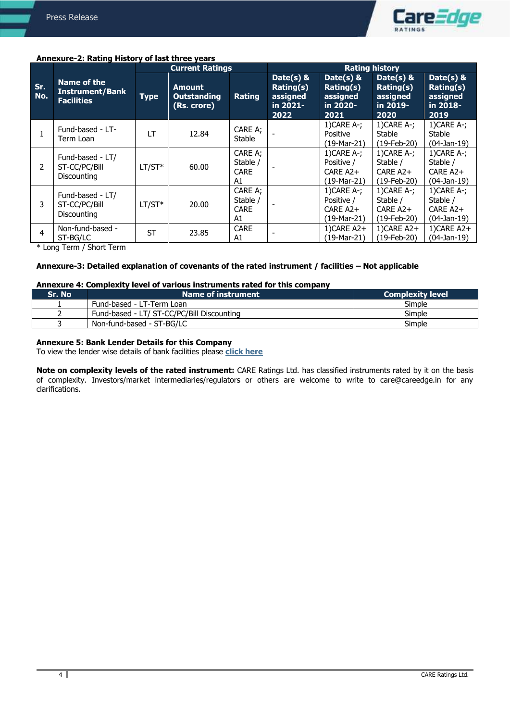

# **Annexure-2: Rating History of last three years**

|                |                                                            |           | <b>Current Ratings</b>                             |                                          | <b>Rating history</b>                                             |                                                                       |                                                                   |                                                        |
|----------------|------------------------------------------------------------|-----------|----------------------------------------------------|------------------------------------------|-------------------------------------------------------------------|-----------------------------------------------------------------------|-------------------------------------------------------------------|--------------------------------------------------------|
| Sr.<br>No.     | Name of the<br><b>Instrument/Bank</b><br><b>Facilities</b> | Type      | <b>Amount</b><br><b>Outstanding</b><br>(Rs. crore) | Rating                                   | Date( $s$ ) &<br><b>Rating(s)</b><br>assigned<br>in 2021-<br>2022 | Date(s) &<br>Rating(s)<br>assigned<br>in 2020-<br>2021                | Date(s) &<br>Rating(s)<br>assigned<br>in 2019-<br>2020            | Date(s) &<br>Rating(s)<br>assigned<br>in 2018-<br>2019 |
|                | Fund-based - LT-<br>Term Loan                              | LT        | 12.84                                              | CARE A;<br>Stable                        |                                                                   | $1)$ CARE A-;<br>Positive<br>$(19-Mar-21)$                            | $1)$ CARE A-;<br>Stable<br>$(19$ -Feb-20)                         | $1)$ CARE A-;<br>Stable<br>$(04-Jan-19)$               |
| $\overline{2}$ | Fund-based - LT/<br>ST-CC/PC/Bill<br>Discounting           | $LT/ST*$  | 60.00                                              | CARE A;<br>Stable /<br><b>CARE</b><br>A1 |                                                                   | $1)$ CARE A-;<br>Positive /<br>CARE A <sub>2</sub> +<br>$(19-Mar-21)$ | $1)$ CARE A-;<br>Stable /<br>$CARE A2+$<br>$(19-Feb-20)$          | $1)$ CARE A-;<br>Stable /<br>CARE A2+<br>$(04-Jan-19)$ |
| 3              | Fund-based - LT/<br>ST-CC/PC/Bill<br><b>Discounting</b>    | $LT/ST*$  | 20.00                                              | CARE A;<br>Stable /<br><b>CARE</b><br>A1 |                                                                   | $1)$ CARE A-;<br>Positive /<br>CARE A <sub>2</sub> +<br>$(19-Mar-21)$ | $1)$ CARE A-;<br>Stable /<br>CARE A <sub>2</sub> +<br>(19-Feb-20) | $1)$ CARE A-;<br>Stable /<br>CARE A2+<br>$(04-Jan-19)$ |
| 4              | Non-fund-based -<br>ST-BG/LC                               | <b>ST</b> | 23.85                                              | <b>CARE</b><br>A1                        |                                                                   | $1)$ CARE A2+<br>$(19-Mar-21)$                                        | 1)CARE A2+<br>(19-Feb-20)                                         | 1) CARE $A2+$<br>$(04-Jan-19)$                         |

\* Long Term / Short Term

## **Annexure-3: Detailed explanation of covenants of the rated instrument / facilities – Not applicable**

# **Annexure 4: Complexity level of various instruments rated for this company**

| Sr. No l | Name of instrument                         | <b>Complexity level</b> |
|----------|--------------------------------------------|-------------------------|
|          | Fund-based - LT-Term Loan                  | Simple                  |
|          | Fund-based - LT/ ST-CC/PC/Bill Discounting | Simple                  |
|          | Non-fund-based - ST-BG/LC                  | Simple                  |

# **Annexure 5: Bank Lender Details for this Company**

To view the lender wise details of bank facilities please **[click here](https://www.careratings.com/Bankdetails.aspx?Id=GtEEI0SLP3+1HgyvT2/2pA==)**

**Note on complexity levels of the rated instrument:** CARE Ratings Ltd. has classified instruments rated by it on the basis of complexity. Investors/market intermediaries/regulators or others are welcome to write to care@careedge.in for any clarifications.